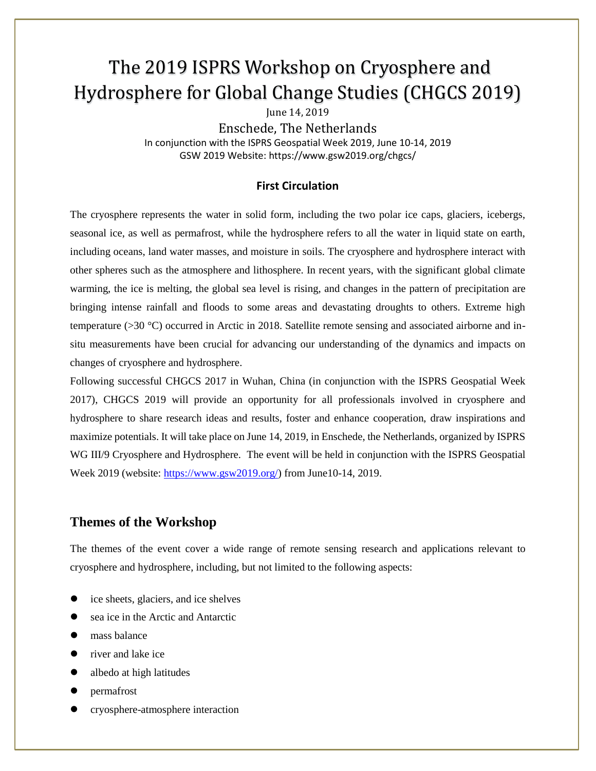# The 2019 ISPRS Workshop on Cryosphere and Hydrosphere for Global Change Studies (CHGCS 2019)

June 14, 2019

Enschede, The Netherlands In conjunction with the ISPRS Geospatial Week 2019, June 10-14, 2019 GSW 2019 Website: https://www.gsw2019.org/chgcs/

### **First Circulation**

The cryosphere represents the water in solid form, including the two polar ice caps, glaciers, icebergs, seasonal ice, as well as permafrost, while the hydrosphere refers to all the water in liquid state on earth, including oceans, land water masses, and moisture in soils. The cryosphere and hydrosphere interact with other spheres such as the atmosphere and lithosphere. In recent years, with the significant global climate warming, the ice is melting, the global sea level is rising, and changes in the pattern of precipitation are bringing intense rainfall and floods to some areas and devastating droughts to others. Extreme high temperature (>30 °C) occurred in Arctic in 2018. Satellite remote sensing and associated airborne and insitu measurements have been crucial for advancing our understanding of the dynamics and impacts on changes of cryosphere and hydrosphere.

Following successful CHGCS 2017 in Wuhan, China (in conjunction with the ISPRS Geospatial Week 2017), CHGCS 2019 will provide an opportunity for all professionals involved in cryosphere and hydrosphere to share research ideas and results, foster and enhance cooperation, draw inspirations and maximize potentials. It will take place on June 14, 2019, in Enschede, the Netherlands, organized by ISPRS WG III/9 Cryosphere and Hydrosphere. The event will be held in conjunction with the ISPRS Geospatial Week 2019 (website: https://www.gsw2019.org/) from June10-14, 2019.

## **Themes of the Workshop**

The themes of the event cover a wide range of remote sensing research and applications relevant to cryosphere and hydrosphere, including, but not limited to the following aspects:

- ice sheets, glaciers, and ice shelves
- sea ice in the Arctic and Antarctic
- mass balance
- river and lake ice
- albedo at high latitudes
- permafrost
- cryosphere-atmosphere interaction